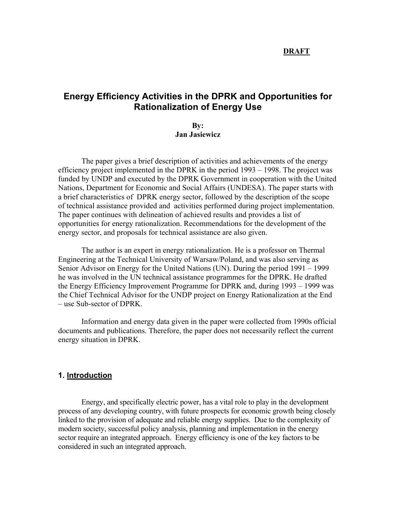#### **DRAFT**

# **Energy Efficiency Activities in the DPRK and Opportunities for Rationalization of Energy Use**

## **By: Jan Jasiewicz**

The paper gives a brief description of activities and achievements of the energy efficiency project implemented in the DPRK in the period 1993 – 1998. The project was funded by UNDP and executed by the DPRK Government in cooperation with the United Nations, Department for Economic and Social Affairs (UNDESA). The paper starts with a brief characteristics of DPRK energy sector, followed by the description of the scope of technical assistance provided and activities performed during project implementation. The paper continues with delineation of achieved results and provides a list of opportunities for energy rationalization. Recommendations for the development of the energy sector, and proposals for technical assistance are also given.

The author is an expert in energy rationalization. He is a professor on Thermal Engineering at the Technical University of Warsaw/Poland, and was also serving as Senior Advisor on Energy for the United Nations (UN). During the period 1991 – 1999 he was involved in the UN technical assistance programmes for the DPRK. He drafted the Energy Efficiency Improvement Programme for DPRK and, during 1993 – 1999 was the Chief Technical Advisor for the UNDP project on Energy Rationalization at the End – use Sub-sector of DPRK.

 Information and energy data given in the paper were collected from 1990s official documents and publications. Therefore, the paper does not necessarily reflect the current energy situation in DPRK.

## **1. Introduction**

Energy, and specifically electric power, has a vital role to play in the development process of any developing country, with future prospects for economic growth being closely linked to the provision of adequate and reliable energy supplies. Due to the complexity of modern society, successful policy analysis, planning and implementation in the energy sector require an integrated approach. Energy efficiency is one of the key factors to be considered in such an integrated approach.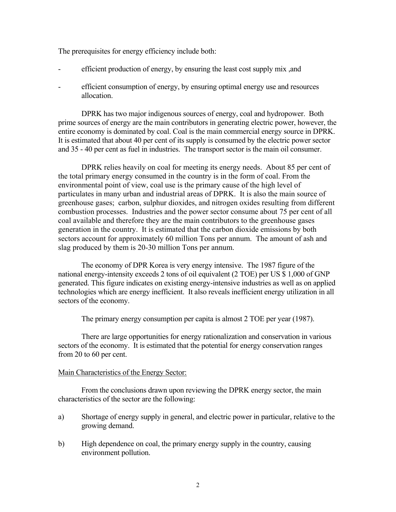The prerequisites for energy efficiency include both:

- efficient production of energy, by ensuring the least cost supply mix, and
- efficient consumption of energy, by ensuring optimal energy use and resources allocation.

DPRK has two major indigenous sources of energy, coal and hydropower. Both prime sources of energy are the main contributors in generating electric power, however, the entire economy is dominated by coal. Coal is the main commercial energy source in DPRK. It is estimated that about 40 per cent of its supply is consumed by the electric power sector and 35 - 40 per cent as fuel in industries. The transport sector is the main oil consumer.

DPRK relies heavily on coal for meeting its energy needs. About 85 per cent of the total primary energy consumed in the country is in the form of coal. From the environmental point of view, coal use is the primary cause of the high level of particulates in many urban and industrial areas of DPRK. It is also the main source of greenhouse gases; carbon, sulphur dioxides, and nitrogen oxides resulting from different combustion processes. Industries and the power sector consume about 75 per cent of all coal available and therefore they are the main contributors to the greenhouse gases generation in the country. It is estimated that the carbon dioxide emissions by both sectors account for approximately 60 million Tons per annum. The amount of ash and slag produced by them is 20-30 million Tons per annum.

The economy of DPR Korea is very energy intensive. The 1987 figure of the national energy-intensity exceeds 2 tons of oil equivalent (2 TOE) per US \$ 1,000 of GNP generated. This figure indicates on existing energy-intensive industries as well as on applied technologies which are energy inefficient. It also reveals inefficient energy utilization in all sectors of the economy.

The primary energy consumption per capita is almost 2 TOE per year (1987).

 There are large opportunities for energy rationalization and conservation in various sectors of the economy. It is estimated that the potential for energy conservation ranges from 20 to 60 per cent.

## Main Characteristics of the Energy Sector:

 From the conclusions drawn upon reviewing the DPRK energy sector, the main characteristics of the sector are the following:

- a) Shortage of energy supply in general, and electric power in particular, relative to the growing demand.
- b) High dependence on coal, the primary energy supply in the country, causing environment pollution.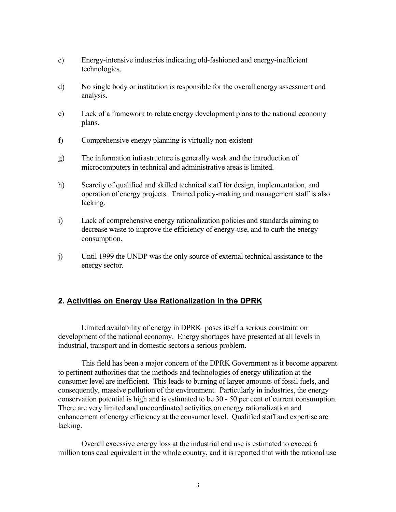- c) Energy-intensive industries indicating old-fashioned and energy-inefficient technologies.
- d) No single body or institution is responsible for the overall energy assessment and analysis.
- e) Lack of a framework to relate energy development plans to the national economy plans.
- f) Comprehensive energy planning is virtually non-existent
- g) The information infrastructure is generally weak and the introduction of microcomputers in technical and administrative areas is limited.
- h) Scarcity of qualified and skilled technical staff for design, implementation, and operation of energy projects. Trained policy-making and management staff is also lacking.
- i) Lack of comprehensive energy rationalization policies and standards aiming to decrease waste to improve the efficiency of energy-use, and to curb the energy consumption.
- j) Until 1999 the UNDP was the only source of external technical assistance to the energy sector.

## **2. Activities on Energy Use Rationalization in the DPRK**

 Limited availability of energy in DPRK poses itself a serious constraint on development of the national economy. Energy shortages have presented at all levels in industrial, transport and in domestic sectors a serious problem.

This field has been a major concern of the DPRK Government as it become apparent to pertinent authorities that the methods and technologies of energy utilization at the consumer level are inefficient. This leads to burning of larger amounts of fossil fuels, and consequently, massive pollution of the environment. Particularly in industries, the energy conservation potential is high and is estimated to be 30 - 50 per cent of current consumption. There are very limited and uncoordinated activities on energy rationalization and enhancement of energy efficiency at the consumer level. Qualified staff and expertise are lacking.

Overall excessive energy loss at the industrial end use is estimated to exceed 6 million tons coal equivalent in the whole country, and it is reported that with the rational use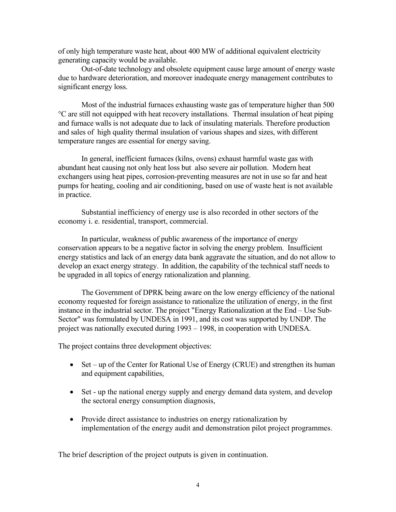of only high temperature waste heat, about 400 MW of additional equivalent electricity generating capacity would be available.

Out-of-date technology and obsolete equipment cause large amount of energy waste due to hardware deterioration, and moreover inadequate energy management contributes to significant energy loss.

 Most of the industrial furnaces exhausting waste gas of temperature higher than 500 °C are still not equipped with heat recovery installations. Thermal insulation of heat piping and furnace walls is not adequate due to lack of insulating materials. Therefore production and sales of high quality thermal insulation of various shapes and sizes, with different temperature ranges are essential for energy saving.

 In general, inefficient furnaces (kilns, ovens) exhaust harmful waste gas with abundant heat causing not only heat loss but also severe air pollution. Modern heat exchangers using heat pipes, corrosion-preventing measures are not in use so far and heat pumps for heating, cooling and air conditioning, based on use of waste heat is not available in practice.

 Substantial inefficiency of energy use is also recorded in other sectors of the economy i. e. residential, transport, commercial.

In particular, weakness of public awareness of the importance of energy conservation appears to be a negative factor in solving the energy problem. Insufficient energy statistics and lack of an energy data bank aggravate the situation, and do not allow to develop an exact energy strategy. In addition, the capability of the technical staff needs to be upgraded in all topics of energy rationalization and planning.

 The Government of DPRK being aware on the low energy efficiency of the national economy requested for foreign assistance to rationalize the utilization of energy, in the first instance in the industrial sector. The project "Energy Rationalization at the End – Use Sub-Sector" was formulated by UNDESA in 1991, and its cost was supported by UNDP. The project was nationally executed during 1993 – 1998, in cooperation with UNDESA.

The project contains three development objectives:

- Set up of the Center for Rational Use of Energy (CRUE) and strengthen its human and equipment capabilities,
- Set up the national energy supply and energy demand data system, and develop the sectoral energy consumption diagnosis,
- Provide direct assistance to industries on energy rationalization by implementation of the energy audit and demonstration pilot project programmes.

The brief description of the project outputs is given in continuation.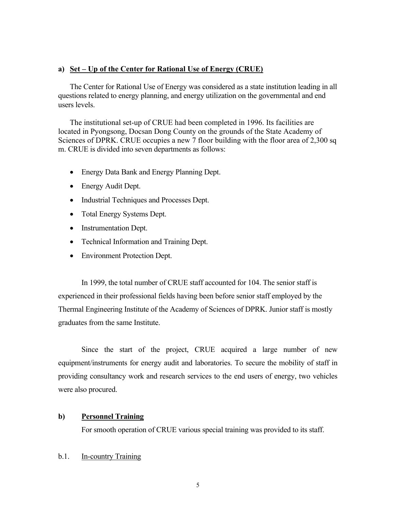### **a) Set – Up of the Center for Rational Use of Energy (CRUE)**

The Center for Rational Use of Energy was considered as a state institution leading in all questions related to energy planning, and energy utilization on the governmental and end users levels.

The institutional set-up of CRUE had been completed in 1996. Its facilities are located in Pyongsong, Docsan Dong County on the grounds of the State Academy of Sciences of DPRK. CRUE occupies a new 7 floor building with the floor area of 2,300 sq m. CRUE is divided into seven departments as follows:

- Energy Data Bank and Energy Planning Dept.
- Energy Audit Dept.
- Industrial Techniques and Processes Dept.
- Total Energy Systems Dept.
- Instrumentation Dept.
- Technical Information and Training Dept.
- Environment Protection Dept.

 In 1999, the total number of CRUE staff accounted for 104. The senior staff is experienced in their professional fields having been before senior staff employed by the Thermal Engineering Institute of the Academy of Sciences of DPRK. Junior staff is mostly graduates from the same Institute.

 Since the start of the project, CRUE acquired a large number of new equipment/instruments for energy audit and laboratories. To secure the mobility of staff in providing consultancy work and research services to the end users of energy, two vehicles were also procured.

### **b) Personnel Training**

For smooth operation of CRUE various special training was provided to its staff.

#### b.1. In-country Training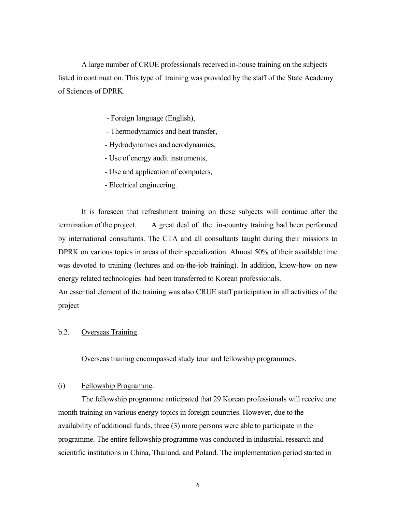A large number of CRUE professionals received in-house training on the subjects listed in continuation. This type of training was provided by the staff of the State Academy of Sciences of DPRK.

- Foreign language (English),
- Thermodynamics and heat transfer,
- Hydrodynamics and aerodynamics,
- Use of energy audit instruments,
- Use and application of computers,
- Electrical engineering.

 It is foreseen that refreshment training on these subjects will continue after the termination of the project. A great deal of the in-country training had been performed by international consultants. The CTA and all consultants taught during their missions to DPRK on various topics in areas of their specialization. Almost 50% of their available time was devoted to training (lectures and on-the-job training). In addition, know-how on new energy related technologies had been transferred to Korean professionals.

An essential element of the training was also CRUE staff participation in all activities of the project

## b.2. Overseas Training

Overseas training encompassed study tour and fellowship programmes.

#### (i) Fellowship Programme.

 The fellowship programme anticipated that 29 Korean professionals will receive one month training on various energy topics in foreign countries. However, due to the availability of additional funds, three (3) more persons were able to participate in the programme. The entire fellowship programme was conducted in industrial, research and scientific institutions in China, Thailand, and Poland. The implementation period started in

6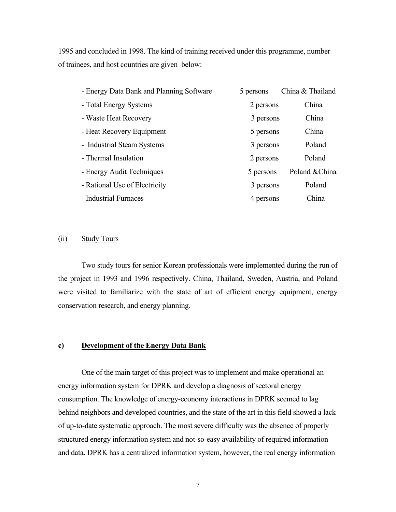1995 and concluded in 1998. The kind of training received under this programme, number of trainees, and host countries are given below:

| - Energy Data Bank and Planning Software | 5 persons | China & Thailand |
|------------------------------------------|-----------|------------------|
| - Total Energy Systems                   | 2 persons | China            |
| - Waste Heat Recovery                    | 3 persons | China            |
| - Heat Recovery Equipment                | 5 persons | China            |
| - Industrial Steam Systems               | 3 persons | Poland           |
| - Thermal Insulation                     | 2 persons | Poland           |
| - Energy Audit Techniques                | 5 persons | Poland & China   |
| - Rational Use of Electricity            | 3 persons | Poland           |
| - Industrial Furnaces                    | 4 persons | China            |

## (ii) Study Tours

 Two study tours for senior Korean professionals were implemented during the run of the project in 1993 and 1996 respectively. China, Thailand, Sweden, Austria, and Poland were visited to familiarize with the state of art of efficient energy equipment, energy conservation research, and energy planning.

### **c) Development of the Energy Data Bank**

 One of the main target of this project was to implement and make operational an energy information system for DPRK and develop a diagnosis of sectoral energy consumption. The knowledge of energy-economy interactions in DPRK seemed to lag behind neighbors and developed countries, and the state of the art in this field showed a lack of up-to-date systematic approach. The most severe difficulty was the absence of properly structured energy information system and not-so-easy availability of required information and data. DPRK has a centralized information system, however, the real energy information

7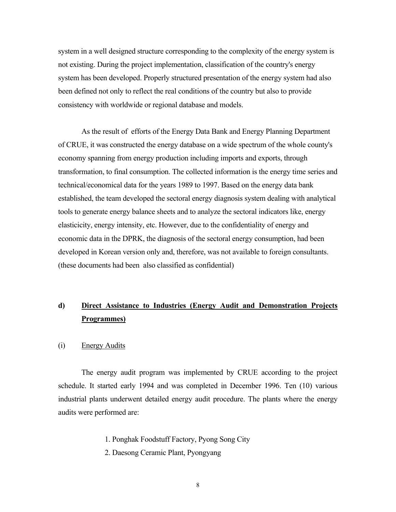system in a well designed structure corresponding to the complexity of the energy system is not existing. During the project implementation, classification of the country's energy system has been developed. Properly structured presentation of the energy system had also been defined not only to reflect the real conditions of the country but also to provide consistency with worldwide or regional database and models.

 As the result of efforts of the Energy Data Bank and Energy Planning Department of CRUE, it was constructed the energy database on a wide spectrum of the whole county's economy spanning from energy production including imports and exports, through transformation, to final consumption. The collected information is the energy time series and technical/economical data for the years 1989 to 1997. Based on the energy data bank established, the team developed the sectoral energy diagnosis system dealing with analytical tools to generate energy balance sheets and to analyze the sectoral indicators like, energy elasticicity, energy intensity, etc. However, due to the confidentiality of energy and economic data in the DPRK, the diagnosis of the sectoral energy consumption, had been developed in Korean version only and, therefore, was not available to foreign consultants. (these documents had been also classified as confidential)

# **d) Direct Assistance to Industries (Energy Audit and Demonstration Projects Programmes)**

(i) Energy Audits

 The energy audit program was implemented by CRUE according to the project schedule. It started early 1994 and was completed in December 1996. Ten (10) various industrial plants underwent detailed energy audit procedure. The plants where the energy audits were performed are:

- 1. Ponghak Foodstuff Factory, Pyong Song City
- 2. Daesong Ceramic Plant, Pyongyang
	- 8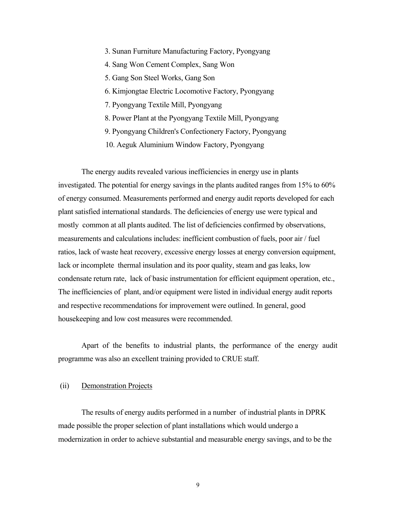- 3. Sunan Furniture Manufacturing Factory, Pyongyang
- 4. Sang Won Cement Complex, Sang Won
- 5. Gang Son Steel Works, Gang Son
- 6. Kimjongtae Electric Locomotive Factory, Pyongyang
- 7. Pyongyang Textile Mill, Pyongyang
- 8. Power Plant at the Pyongyang Textile Mill, Pyongyang
- 9. Pyongyang Children's Confectionery Factory, Pyongyang
- 10. Aeguk Aluminium Window Factory, Pyongyang

 The energy audits revealed various inefficiencies in energy use in plants investigated. The potential for energy savings in the plants audited ranges from 15% to 60% of energy consumed. Measurements performed and energy audit reports developed for each plant satisfied international standards. The deficiencies of energy use were typical and mostly common at all plants audited. The list of deficiencies confirmed by observations, measurements and calculations includes: inefficient combustion of fuels, poor air / fuel ratios, lack of waste heat recovery, excessive energy losses at energy conversion equipment, lack or incomplete thermal insulation and its poor quality, steam and gas leaks, low condensate return rate, lack of basic instrumentation for efficient equipment operation, etc., The inefficiencies of plant, and/or equipment were listed in individual energy audit reports and respective recommendations for improvement were outlined. In general, good housekeeping and low cost measures were recommended.

 Apart of the benefits to industrial plants, the performance of the energy audit programme was also an excellent training provided to CRUE staff.

#### (ii) Demonstration Projects

 The results of energy audits performed in a number of industrial plants in DPRK made possible the proper selection of plant installations which would undergo a modernization in order to achieve substantial and measurable energy savings, and to be the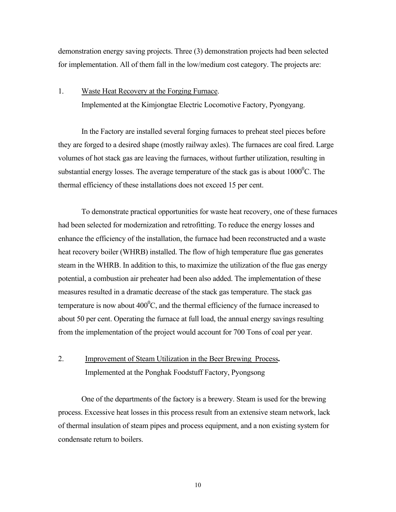demonstration energy saving projects. Three (3) demonstration projects had been selected for implementation. All of them fall in the low/medium cost category. The projects are:

# 1. Waste Heat Recovery at the Forging Furnace. Implemented at the Kimjongtae Electric Locomotive Factory, Pyongyang.

 In the Factory are installed several forging furnaces to preheat steel pieces before they are forged to a desired shape (mostly railway axles). The furnaces are coal fired. Large volumes of hot stack gas are leaving the furnaces, without further utilization, resulting in substantial energy losses. The average temperature of the stack gas is about  $1000^{\circ}$ C. The thermal efficiency of these installations does not exceed 15 per cent.

 To demonstrate practical opportunities for waste heat recovery, one of these furnaces had been selected for modernization and retrofitting. To reduce the energy losses and enhance the efficiency of the installation, the furnace had been reconstructed and a waste heat recovery boiler (WHRB) installed. The flow of high temperature flue gas generates steam in the WHRB. In addition to this, to maximize the utilization of the flue gas energy potential, a combustion air preheater had been also added. The implementation of these measures resulted in a dramatic decrease of the stack gas temperature. The stack gas temperature is now about  $400^{\circ}$ C, and the thermal efficiency of the furnace increased to about 50 per cent. Operating the furnace at full load, the annual energy savings resulting from the implementation of the project would account for 700 Tons of coal per year.

# 2. Improvement of Steam Utilization in the Beer Brewing Process**.** Implemented at the Ponghak Foodstuff Factory, Pyongsong

 One of the departments of the factory is a brewery. Steam is used for the brewing process. Excessive heat losses in this process result from an extensive steam network, lack of thermal insulation of steam pipes and process equipment, and a non existing system for condensate return to boilers.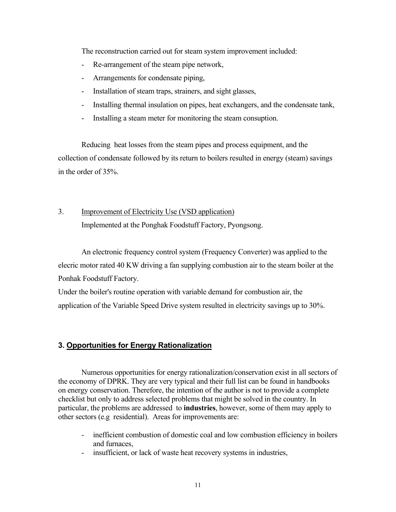The reconstruction carried out for steam system improvement included:

- Re-arrangement of the steam pipe network,
- Arrangements for condensate piping,
- Installation of steam traps, strainers, and sight glasses,
- Installing thermal insulation on pipes, heat exchangers, and the condensate tank,
- Installing a steam meter for monitoring the steam consuption.

 Reducing heat losses from the steam pipes and process equipment, and the collection of condensate followed by its return to boilers resulted in energy (steam) savings in the order of 35%.

# 3. Improvement of Electricity Use (VSD application) Implemented at the Ponghak Foodstuff Factory, Pyongsong.

 An electronic frequency control system (Frequency Converter) was applied to the elecric motor rated 40 KW driving a fan supplying combustion air to the steam boiler at the Ponhak Foodstuff Factory.

Under the boiler's routine operation with variable demand for combustion air, the application of the Variable Speed Drive system resulted in electricity savings up to 30%.

# **3. Opportunities for Energy Rationalization**

Numerous opportunities for energy rationalization/conservation exist in all sectors of the economy of DPRK. They are very typical and their full list can be found in handbooks on energy conservation. Therefore, the intention of the author is not to provide a complete checklist but only to address selected problems that might be solved in the country. In particular, the problems are addressed to **industries**, however, some of them may apply to other sectors (e.g residential). Areas for improvements are:

- inefficient combustion of domestic coal and low combustion efficiency in boilers and furnaces,
- insufficient, or lack of waste heat recovery systems in industries,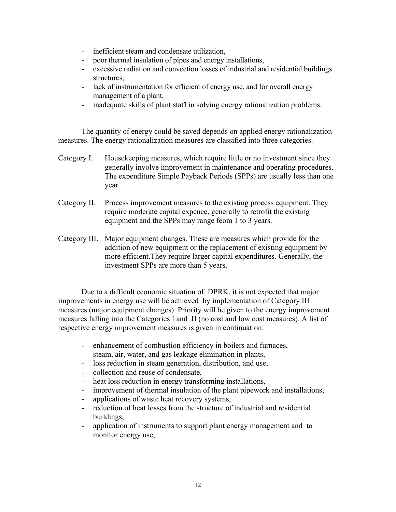- inefficient steam and condensate utilization,
- poor thermal insulation of pipes and energy installations,
- excessive radiation and convection losses of industrial and residential buildings structures,
- lack of instrumentation for efficient of energy use, and for overall energy management of a plant,
- inadequate skills of plant staff in solving energy rationalization problems.

The quantity of energy could be saved depends on applied energy rationalization measures. The energy rationalization measures are classified into three categories.

- Category I. Housekeeping measures, which require little or no investment since they generally involve improvement in maintenance and operating procedures. The expenditure Simple Payback Periods (SPPs) are usually less than one year.
- Category II. Process improvement measures to the existing process equipment. They require moderate capital expence, generally to retrofit the existing equipment and the SPPs may range feom 1 to 3 years.
- Category III. Major equipment changes. These are measures which provide for the addition of new equipment or the replacement of existing equipment by more efficient.They require larger capital expenditures. Generally, the investment SPPs are more than 5 years.

Due to a difficult economic situation of DPRK, it is not expected that major improvements in energy use will be achieved by implementation of Category III measures (major equipment changes). Priority will be given to the energy improvement measures falling into the Categories I and II (no cost and low cost measures). A list of respective energy improvement measures is given in continuation:

- enhancement of combustion efficiency in boilers and furnaces,
- steam, air, water, and gas leakage elimination in plants,
- loss reduction in steam generation, distribution, and use,
- collection and reuse of condensate,
- heat loss reduction in energy transforming installations,
- improvement of thermal insulation of the plant pipework and installations,
- applications of waste heat recovery systems,
- reduction of heat losses from the structure of industrial and residential buildings,
- application of instruments to support plant energy management and to monitor energy use,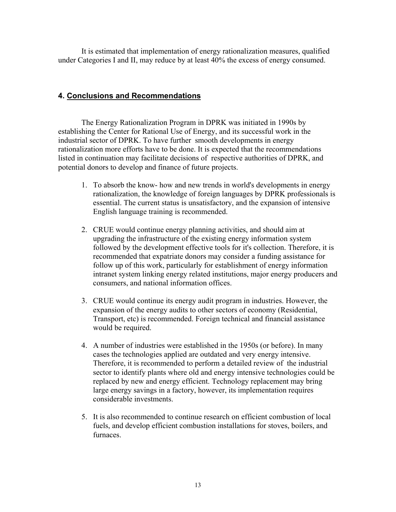It is estimated that implementation of energy rationalization measures, qualified under Categories I and II, may reduce by at least 40% the excess of energy consumed.

# **4. Conclusions and Recommendations**

The Energy Rationalization Program in DPRK was initiated in 1990s by establishing the Center for Rational Use of Energy, and its successful work in the industrial sector of DPRK. To have further smooth developments in energy rationalization more efforts have to be done. It is expected that the recommendations listed in continuation may facilitate decisions of respective authorities of DPRK, and potential donors to develop and finance of future projects.

- 1. To absorb the know- how and new trends in world's developments in energy rationalization, the knowledge of foreign languages by DPRK professionals is essential. The current status is unsatisfactory, and the expansion of intensive English language training is recommended.
- 2. CRUE would continue energy planning activities, and should aim at upgrading the infrastructure of the existing energy information system followed by the development effective tools for it's collection. Therefore, it is recommended that expatriate donors may consider a funding assistance for follow up of this work, particularly for establishment of energy information intranet system linking energy related institutions, major energy producers and consumers, and national information offices.
- 3. CRUE would continue its energy audit program in industries. However, the expansion of the energy audits to other sectors of economy (Residential, Transport, etc) is recommended. Foreign technical and financial assistance would be required.
- 4. A number of industries were established in the 1950s (or before). In many cases the technologies applied are outdated and very energy intensive. Therefore, it is recommended to perform a detailed review of the industrial sector to identify plants where old and energy intensive technologies could be replaced by new and energy efficient. Technology replacement may bring large energy savings in a factory, however, its implementation requires considerable investments.
- 5. It is also recommended to continue research on efficient combustion of local fuels, and develop efficient combustion installations for stoves, boilers, and furnaces.